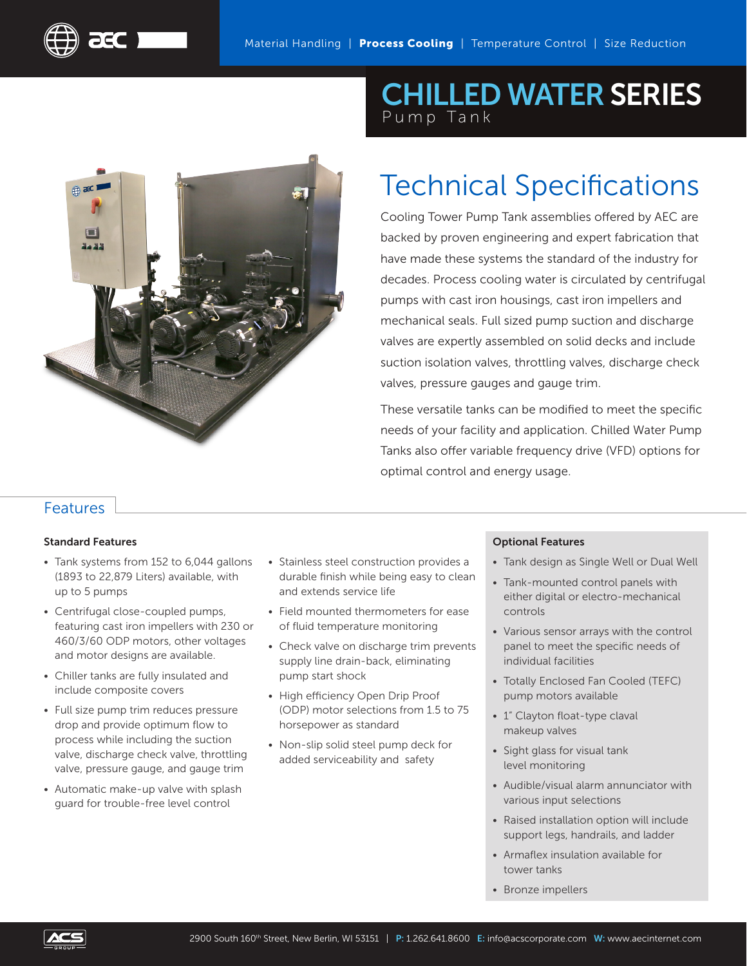

## CHILLED WATER SERIES Pump Tank

# Technical Specifications

Cooling Tower Pump Tank assemblies offered by AEC are backed by proven engineering and expert fabrication that have made these systems the standard of the industry for decades. Process cooling water is circulated by centrifugal pumps with cast iron housings, cast iron impellers and mechanical seals. Full sized pump suction and discharge valves are expertly assembled on solid decks and include suction isolation valves, throttling valves, discharge check valves, pressure gauges and gauge trim.

These versatile tanks can be modified to meet the specific needs of your facility and application. Chilled Water Pump Tanks also offer variable frequency drive (VFD) options for optimal control and energy usage.

### Features

#### Standard Features

ECT

- Tank systems from 152 to 6,044 gallons (1893 to 22,879 Liters) available, with up to 5 pumps
- Centrifugal close-coupled pumps, featuring cast iron impellers with 230 or 460/3/60 ODP motors, other voltages and motor designs are available.
- Chiller tanks are fully insulated and include composite covers
- Full size pump trim reduces pressure drop and provide optimum flow to process while including the suction valve, discharge check valve, throttling valve, pressure gauge, and gauge trim
- Automatic make-up valve with splash guard for trouble-free level control
- Stainless steel construction provides a durable finish while being easy to clean and extends service life
- Field mounted thermometers for ease of fluid temperature monitoring
- Check valve on discharge trim prevents supply line drain-back, eliminating pump start shock
- High efficiency Open Drip Proof (ODP) motor selections from 1.5 to 75 horsepower as standard
- Non-slip solid steel pump deck for added serviceability and safety

#### Optional Features

- Tank design as Single Well or Dual Well
- Tank-mounted control panels with either digital or electro-mechanical controls
- Various sensor arrays with the control panel to meet the specific needs of individual facilities
- Totally Enclosed Fan Cooled (TEFC) pump motors available
- 1" Clayton float-type claval makeup valves
- Sight glass for visual tank level monitoring
- Audible/visual alarm annunciator with various input selections
- Raised installation option will include support legs, handrails, and ladder
- Armaflex insulation available for tower tanks
- Bronze impellers